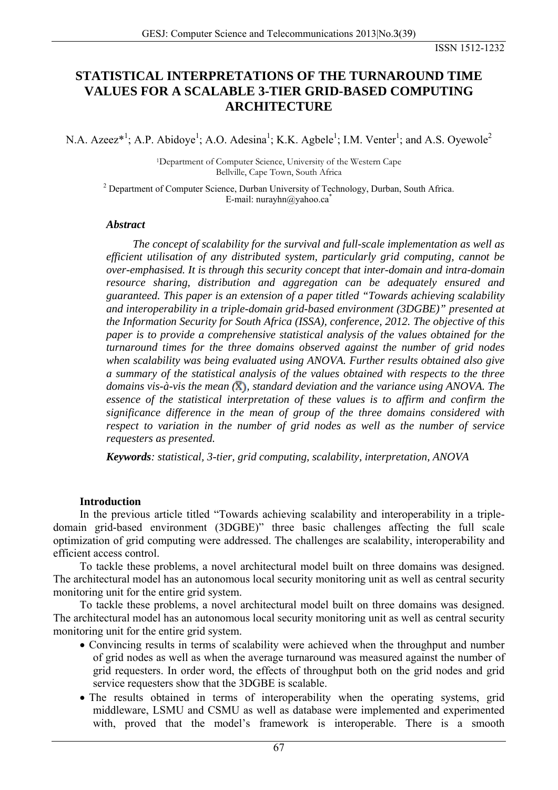# **STATISTICAL INTERPRETATIONS OF THE TURNAROUND TIME VALUES FOR A SCALABLE 3-TIER GRID-BASED COMPUTING ARCHITECTURE**

N.A. Azeez\*<sup>1</sup>; A.P. Abidoye<sup>1</sup>; A.O. Adesina<sup>1</sup>; K.K. Agbele<sup>1</sup>; I.M. Venter<sup>1</sup>; and A.S. Oyewole<sup>2</sup>

1Department of Computer Science, University of the Western Cape Bellville, Cape Town, South Africa

<sup>2</sup> Department of Computer Science, Durban University of Technology, Durban, South Africa. E-mail: nurayhn@yahoo.ca<sup>\*</sup>

### *Abstract*

*The concept of scalability for the survival and full-scale implementation as well as efficient utilisation of any distributed system, particularly grid computing, cannot be over-emphasised. It is through this security concept that inter-domain and intra-domain resource sharing, distribution and aggregation can be adequately ensured and guaranteed. This paper is an extension of a paper titled "Towards achieving scalability and interoperability in a triple-domain grid-based environment (3DGBE)" presented at the Information Security for South Africa (ISSA), conference, 2012. The objective of this paper is to provide a comprehensive statistical analysis of the values obtained for the turnaround times for the three domains observed against the number of grid nodes when scalability was being evaluated using ANOVA. Further results obtained also give a summary of the statistical analysis of the values obtained with respects to the three domains vis-à-vis the mean* ( $\bar{X}$ ), *standard deviation and the variance using ANOVA. The essence of the statistical interpretation of these values is to affirm and confirm the significance difference in the mean of group of the three domains considered with respect to variation in the number of grid nodes as well as the number of service requesters as presented.* 

*Keywords: statistical, 3-tier, grid computing, scalability, interpretation, ANOVA* 

## **Introduction**

In the previous article titled "Towards achieving scalability and interoperability in a tripledomain grid-based environment (3DGBE)" three basic challenges affecting the full scale optimization of grid computing were addressed. The challenges are scalability, interoperability and efficient access control.

To tackle these problems, a novel architectural model built on three domains was designed. The architectural model has an autonomous local security monitoring unit as well as central security monitoring unit for the entire grid system.

To tackle these problems, a novel architectural model built on three domains was designed. The architectural model has an autonomous local security monitoring unit as well as central security monitoring unit for the entire grid system.

- Convincing results in terms of scalability were achieved when the throughput and number of grid nodes as well as when the average turnaround was measured against the number of grid requesters. In order word, the effects of throughput both on the grid nodes and grid service requesters show that the 3DGBE is scalable.
- The results obtained in terms of interoperability when the operating systems, grid middleware, LSMU and CSMU as well as database were implemented and experimented with, proved that the model's framework is interoperable. There is a smooth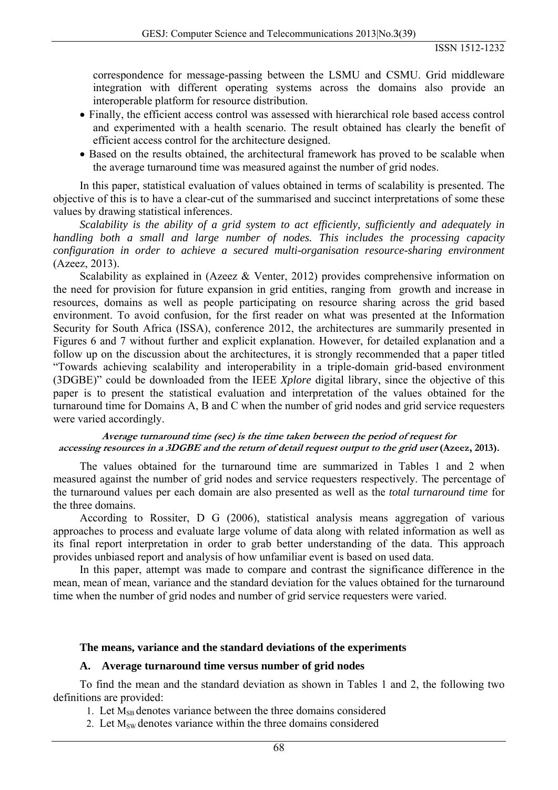correspondence for message-passing between the LSMU and CSMU. Grid middleware integration with different operating systems across the domains also provide an interoperable platform for resource distribution.

- Finally, the efficient access control was assessed with hierarchical role based access control and experimented with a health scenario. The result obtained has clearly the benefit of efficient access control for the architecture designed.
- Based on the results obtained, the architectural framework has proved to be scalable when the average turnaround time was measured against the number of grid nodes.

In this paper, statistical evaluation of values obtained in terms of scalability is presented. The objective of this is to have a clear-cut of the summarised and succinct interpretations of some these values by drawing statistical inferences.

*Scalability is the ability of a grid system to act efficiently, sufficiently and adequately in handling both a small and large number of nodes. This includes the processing capacity configuration in order to achieve a secured multi-organisation resource-sharing environment* (Azeez, 2013).

Scalability as explained in (Azeez & Venter, 2012) provides comprehensive information on the need for provision for future expansion in grid entities, ranging from growth and increase in resources, domains as well as people participating on resource sharing across the grid based environment. To avoid confusion, for the first reader on what was presented at the Information Security for South Africa (ISSA), conference 2012, the architectures are summarily presented in Figures 6 and 7 without further and explicit explanation. However, for detailed explanation and a follow up on the discussion about the architectures, it is strongly recommended that a paper titled "Towards achieving scalability and interoperability in a triple-domain grid-based environment (3DGBE)" could be downloaded from the IEEE *Xplore* digital library, since the objective of this paper is to present the statistical evaluation and interpretation of the values obtained for the turnaround time for Domains A, B and C when the number of grid nodes and grid service requesters were varied accordingly.

#### **Average turnaround time (sec) is the time taken between the period of request for accessing resources in a 3DGBE and the return of detail request output to the grid user (Azeez, 2013).**

The values obtained for the turnaround time are summarized in Tables 1 and 2 when measured against the number of grid nodes and service requesters respectively. The percentage of the turnaround values per each domain are also presented as well as the *total turnaround time* for the three domains.

According to Rossiter, D G (2006), statistical analysis means aggregation of various approaches to process and evaluate large volume of data along with related information as well as its final report interpretation in order to grab better understanding of the data. This approach provides unbiased report and analysis of how unfamiliar event is based on used data.

In this paper, attempt was made to compare and contrast the significance difference in the mean, mean of mean, variance and the standard deviation for the values obtained for the turnaround time when the number of grid nodes and number of grid service requesters were varied.

### **The means, variance and the standard deviations of the experiments**

### **A. Average turnaround time versus number of grid nodes**

To find the mean and the standard deviation as shown in Tables 1 and 2, the following two definitions are provided:

- 1. Let  $M_{SB}$  denotes variance between the three domains considered
- 2. Let  $M_{SW}$  denotes variance within the three domains considered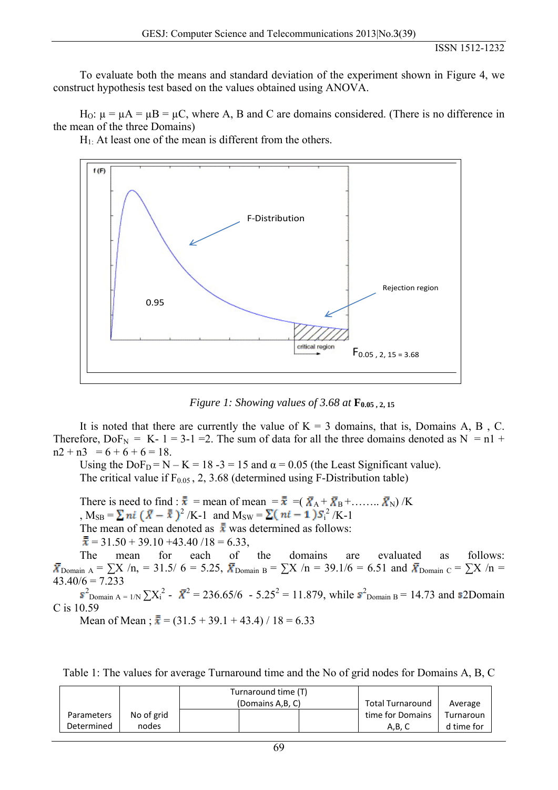To evaluate both the means and standard deviation of the experiment shown in Figure 4, we construct hypothesis test based on the values obtained using ANOVA.

H<sub>O</sub>:  $\mu = \mu A = \mu B = \mu C$ , where A, B and C are domains considered. (There is no difference in the mean of the three Domains)

 $H_1$ . At least one of the mean is different from the others.



*Figure 1: Showing values of 3.68 at*  $\mathbf{F}_{0.05, 2, 15}$ 

It is noted that there are currently the value of  $K = 3$  domains, that is, Domains A, B, C. Therefore,  $DoF_N = K - 1 = 3-1 = 2$ . The sum of data for all the three domains denoted as  $N = n1 +$  $n2 + n3 = 6 + 6 + 6 = 18.$ 

Using the  $DoF_D = N - K = 18 - 3 = 15$  and  $\alpha = 0.05$  (the Least Significant value).

The critical value if  $F_{0.05}$ , 2, 3.68 (determined using F-Distribution table)

There is need to find :  $\bar{\bar{x}} = \text{mean of mean } = \bar{\bar{x}} = (\bar{X}_A + \bar{X}_B + \dots + \bar{X}_N) / K$ ,  $M_{SB} = \sum \pi i (\bar{X} - \bar{x})^2 / K - 1$  and  $M_{SW} = \sum (\pi i - 1) S_i^2 / K - 1$ The mean of mean denoted as  $\bar{x}$  was determined as follows:  $\overline{\overline{x}}$  = 31.50 + 39.10 + 43.40 / 18 = 6.33,

The mean for each of the domains are evaluated as follows:  $\bar{X}_{\text{Domain A}} = \sum X/n$ , = 31.5/ 6 = 5.25,  $\bar{X}_{\text{Domain B}} = \sum X/n = 39.1/6 = 6.51$  and  $\bar{X}_{\text{Domain C}} = \sum X/n =$  $43.40/6 = 7.233$ 

 $\sum_{\text{Domain A = 1/N}}^2 \sum_{i=1}^{2} X_i^2 - \bar{X}^2 = 236.65/6 - 5.25^2 = 11.879$ , while  $\bar{s}^2$ <sub>Domain B</sub> = 14.73 and s2Domain C is 10.59

Mean of Mean ;  $\bar{x} = (31.5 + 39.1 + 43.4) / 18 = 6.33$ 

|            |            | Turnaround time (T) |                  |            |
|------------|------------|---------------------|------------------|------------|
|            |            | (Domains A, B, C)   | Total Turnaround | Average    |
| Parameters | No of grid |                     | time for Domains | Turnaroun  |
| Determined | nodes      |                     | A.B. C           | d time for |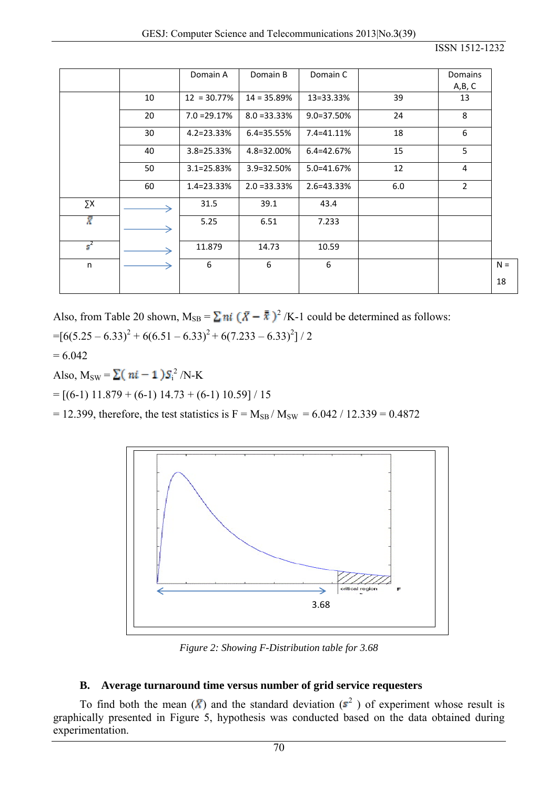|                |    | Domain A        | Domain B       | Domain C       |     | Domains<br>A,B, C |       |
|----------------|----|-----------------|----------------|----------------|-----|-------------------|-------|
|                | 10 | $12 = 30.77\%$  | $14 = 35.89%$  | 13 = 33.33%    | 39  | 13                |       |
|                | 20 | $7.0 = 29.17%$  | $8.0 = 33.33%$ | 9.0=37.50%     | 24  | 8                 |       |
|                | 30 | $4.2 = 23.33%$  | 6.4=35.55%     | 7.4=41.11%     | 18  | 6                 |       |
|                | 40 | $3.8 = 25.33%$  | 4.8=32.00%     | $6.4 = 42.67%$ | 15  | 5                 |       |
|                | 50 | $3.1 = 25.83\%$ | 3.9=32.50%     | 5.0=41.67%     | 12  | 4                 |       |
|                | 60 | 1.4=23.33%      | $2.0 = 33.33%$ | 2.6=43.33%     | 6.0 | $\overline{2}$    |       |
| ΣΧ             |    | 31.5            | 39.1           | 43.4           |     |                   |       |
| T              |    | 5.25            | 6.51           | 7.233          |     |                   |       |
| $\mathbf{s}^2$ |    | 11.879          | 14.73          | 10.59          |     |                   |       |
| n              |    | 6               | 6              | 6              |     |                   | $N =$ |
|                |    |                 |                |                |     |                   | 18    |

Also, from Table 20 shown,  $M_{SB} = \sum ni (\bar{X} - \bar{\bar{x}})^2 / K-1$  could be determined as follows:

 $=[6(5.25-6.33)^{2}+6(6.51-6.33)^{2}+6(7.233-6.33)^{2}]/2$ 

 $= 6.042$ 

Also,  $M_{SW} = \sum (ni-1)S_i^2/N-K$ 

 $=$  [(6-1) 11.879 + (6-1) 14.73 + (6-1) 10.59] / 15

= 12.399, therefore, the test statistics is F =  $M_{SB}$  /  $M_{SW}$  = 6.042 / 12.339 = 0.4872



*Figure 2: Showing F-Distribution table for 3.68* 

# **B. Average turnaround time versus number of grid service requesters**

To find both the mean  $(\bar{X})$  and the standard deviation  $(s^2)$  of experiment whose result is graphically presented in Figure 5, hypothesis was conducted based on the data obtained during experimentation.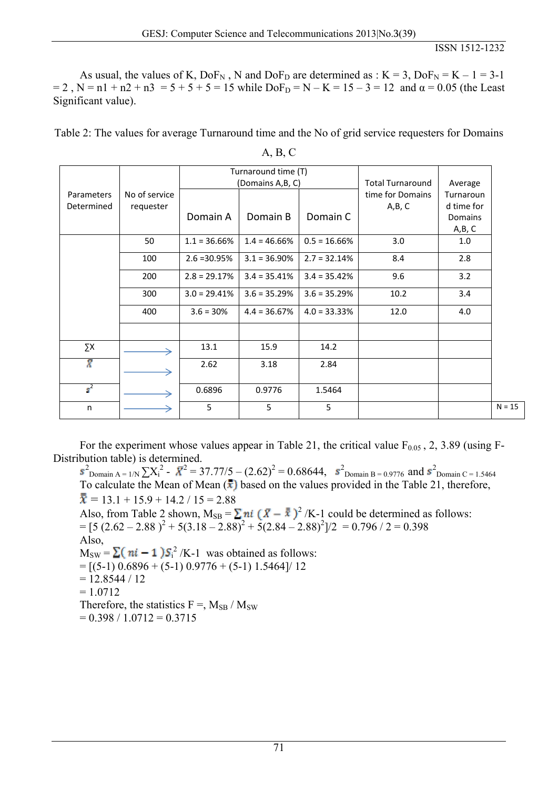As usual, the values of K,  $DoF_N$ , N and  $DoF_D$  are determined as : K = 3,  $DoF_N = K - 1 = 3-1$  $= 2$ , N = n1 + n2 + n3 = 5 + 5 + 5 = 15 while DoF<sub>D</sub> = N – K = 15 – 3 = 12 and  $\alpha$  = 0.05 (the Least Significant value).

Table 2: The values for average Turnaround time and the No of grid service requesters for Domains

|                          | No of service<br>requester | Turnaround time (T) |                              |                 |                                                      |                                                        |          |
|--------------------------|----------------------------|---------------------|------------------------------|-----------------|------------------------------------------------------|--------------------------------------------------------|----------|
| Parameters<br>Determined |                            | Domain A            | (Domains A,B, C)<br>Domain B | Domain C        | <b>Total Turnaround</b><br>time for Domains<br>A,B,C | Average<br>Turnaroun<br>d time for<br>Domains<br>A,B,C |          |
|                          | 50                         | $1.1 = 36.66\%$     | $1.4 = 46.66\%$              | $0.5 = 16.66%$  | 3.0                                                  | 1.0                                                    |          |
|                          | 100                        | $2.6 = 30.95%$      | $3.1 = 36.90\%$              | $2.7 = 32.14%$  | 8.4                                                  | 2.8                                                    |          |
|                          | 200                        | $2.8 = 29.17%$      | $3.4 = 35.41\%$              | $3.4 = 35.42%$  | 9.6                                                  | 3.2                                                    |          |
|                          | 300                        | $3.0 = 29.41\%$     | $3.6 = 35.29%$               | $3.6 = 35.29%$  | 10.2                                                 | 3.4                                                    |          |
|                          | 400                        | $3.6 = 30%$         | $4.4 = 36.67\%$              | $4.0 = 33.33\%$ | 12.0                                                 | 4.0                                                    |          |
|                          |                            |                     |                              |                 |                                                      |                                                        |          |
| ΣΧ                       |                            | 13.1                | 15.9                         | 14.2            |                                                      |                                                        |          |
| Ÿ                        |                            | 2.62                | 3.18                         | 2.84            |                                                      |                                                        |          |
| $\mathbf{s}^2$           |                            | 0.6896              | 0.9776                       | 1.5464          |                                                      |                                                        |          |
| n                        |                            | 5                   | 5                            | 5               |                                                      |                                                        | $N = 15$ |

A, B, C

For the experiment whose values appear in Table 21, the critical value  $F_{0.05}$ , 2, 3.89 (using F-Distribution table) is determined.

 $\sum_{\text{Domain A = 1/N}}^2 \sum_{i=1}^{N} X_i^2 - \bar{X}^2 = 37.77/5 - (2.62)^2 = 0.68644, \quad \bar{s}_{\text{Domain B = 0.9776}}^2$  and  $\bar{s}_{\text{Domain C = 1.5464}}^2$ To calculate the Mean of Mean  $(\overline{\mathbf{x}})$  based on the values provided in the Table 21, therefore,  $\overline{\overline{x}}$  = 13.1 + 15.9 + 14.2 / 15 = 2.88 Also, from Table 2 shown,  $M_{SB} = \sum ni (\bar{X} - \bar{x})^2 / K-1$  could be determined as follows:  $= [5 (2.62 - 2.88)^{2} + 5(3.18 - 2.88)^{2} + 5(2.84 - 2.88)^{2}]$ /2 = 0.796 / 2 = 0.398 Also,  $M_{SW} = \sum (ni - 1) S_i^2 /K-1$  was obtained as follows:  $=$  [(5-1) 0.6896 + (5-1) 0.9776 + (5-1) 1.5464]/ 12  $= 12.8544 / 12$  $= 1.0712$ Therefore, the statistics  $F =$ ,  $M_{SB} / M_{SW}$  $= 0.398 / 1.0712 = 0.3715$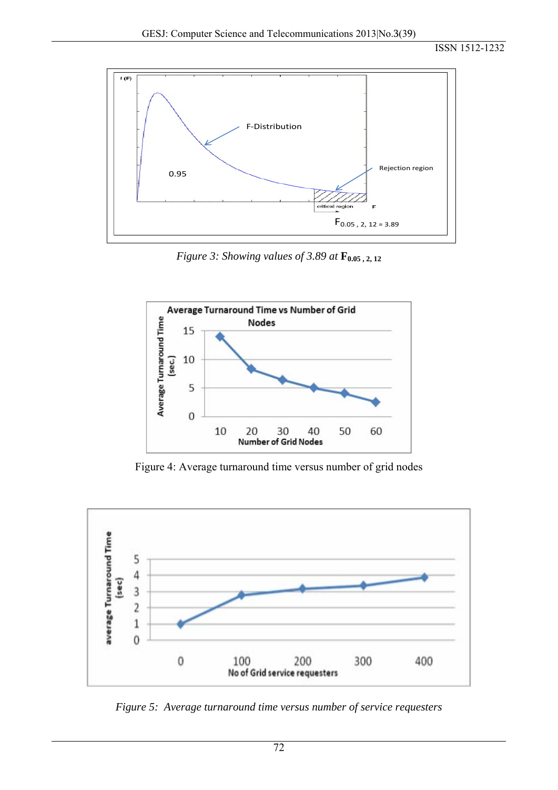

*Figure 3: Showing values of 3.89 at*  $\mathbf{F}_{0.05, 2, 12}$ 



Figure 4: Average turnaround time versus number of grid nodes



*Figure 5: Average turnaround time versus number of service requesters*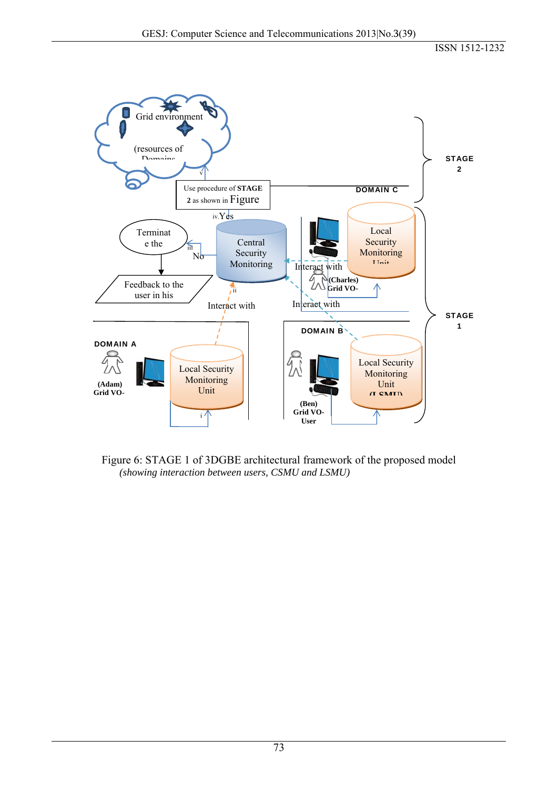

Figure 6: STAGE 1 of 3DGBE architectural framework of the proposed model  *(showing interaction between users, CSMU and LSMU)*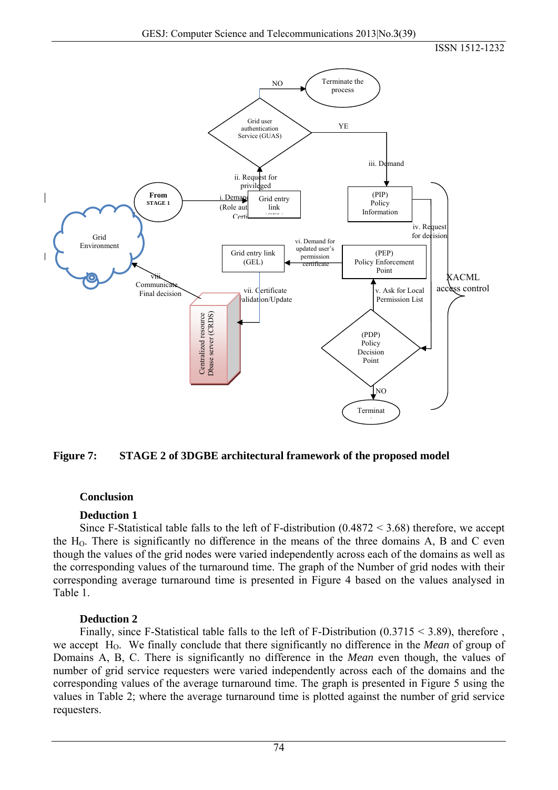



## **Conclusion**

## **Deduction 1**

Since F-Statistical table falls to the left of F-distribution  $(0.4872 \le 3.68)$  therefore, we accept the  $H<sub>0</sub>$ . There is significantly no difference in the means of the three domains A, B and C even though the values of the grid nodes were varied independently across each of the domains as well as the corresponding values of the turnaround time. The graph of the Number of grid nodes with their corresponding average turnaround time is presented in Figure 4 based on the values analysed in Table 1.

## **Deduction 2**

Finally, since F-Statistical table falls to the left of F-Distribution  $(0.3715 \le 3.89)$ , therefore, we accept H<sub>O</sub>. We finally conclude that there significantly no difference in the *Mean* of group of Domains A, B, C. There is significantly no difference in the *Mean* even though, the values of number of grid service requesters were varied independently across each of the domains and the corresponding values of the average turnaround time. The graph is presented in Figure 5 using the values in Table 2; where the average turnaround time is plotted against the number of grid service requesters.